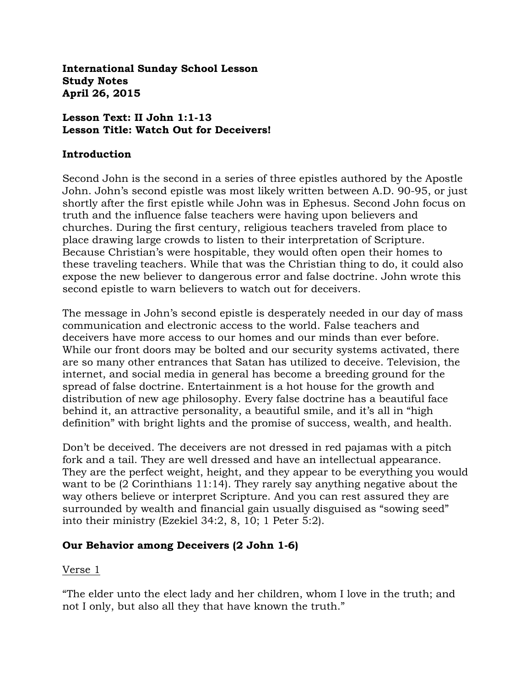**International Sunday School Lesson Study Notes April 26, 2015**

#### **Lesson Text: II John 1:1-13 Lesson Title: Watch Out for Deceivers!**

#### **Introduction**

Second John is the second in a series of three epistles authored by the Apostle John. John's second epistle was most likely written between A.D. 90-95, or just shortly after the first epistle while John was in Ephesus. Second John focus on truth and the influence false teachers were having upon believers and churches. During the first century, religious teachers traveled from place to place drawing large crowds to listen to their interpretation of Scripture. Because Christian's were hospitable, they would often open their homes to these traveling teachers. While that was the Christian thing to do, it could also expose the new believer to dangerous error and false doctrine. John wrote this second epistle to warn believers to watch out for deceivers.

The message in John's second epistle is desperately needed in our day of mass communication and electronic access to the world. False teachers and deceivers have more access to our homes and our minds than ever before. While our front doors may be bolted and our security systems activated, there are so many other entrances that Satan has utilized to deceive. Television, the internet, and social media in general has become a breeding ground for the spread of false doctrine. Entertainment is a hot house for the growth and distribution of new age philosophy. Every false doctrine has a beautiful face behind it, an attractive personality, a beautiful smile, and it's all in "high definition" with bright lights and the promise of success, wealth, and health.

Don't be deceived. The deceivers are not dressed in red pajamas with a pitch fork and a tail. They are well dressed and have an intellectual appearance. They are the perfect weight, height, and they appear to be everything you would want to be (2 Corinthians 11:14). They rarely say anything negative about the way others believe or interpret Scripture. And you can rest assured they are surrounded by wealth and financial gain usually disguised as "sowing seed" into their ministry (Ezekiel 34:2, 8, 10; 1 Peter 5:2).

#### **Our Behavior among Deceivers (2 John 1-6)**

Verse 1

"The elder unto the elect lady and her children, whom I love in the truth; and not I only, but also all they that have known the truth."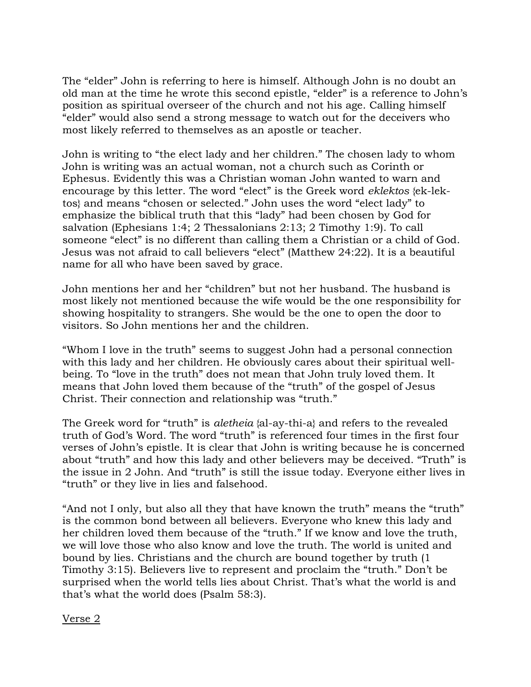The "elder" John is referring to here is himself. Although John is no doubt an old man at the time he wrote this second epistle, "elder" is a reference to John's position as spiritual overseer of the church and not his age. Calling himself "elder" would also send a strong message to watch out for the deceivers who most likely referred to themselves as an apostle or teacher.

John is writing to "the elect lady and her children." The chosen lady to whom John is writing was an actual woman, not a church such as Corinth or Ephesus. Evidently this was a Christian woman John wanted to warn and encourage by this letter. The word "elect" is the Greek word *eklektos* {ek-lektos} and means "chosen or selected." John uses the word "elect lady" to emphasize the biblical truth that this "lady" had been chosen by God for salvation (Ephesians 1:4; 2 Thessalonians 2:13; 2 Timothy 1:9). To call someone "elect" is no different than calling them a Christian or a child of God. Jesus was not afraid to call believers "elect" (Matthew 24:22). It is a beautiful name for all who have been saved by grace.

John mentions her and her "children" but not her husband. The husband is most likely not mentioned because the wife would be the one responsibility for showing hospitality to strangers. She would be the one to open the door to visitors. So John mentions her and the children.

"Whom I love in the truth" seems to suggest John had a personal connection with this lady and her children. He obviously cares about their spiritual wellbeing. To "love in the truth" does not mean that John truly loved them. It means that John loved them because of the "truth" of the gospel of Jesus Christ. Their connection and relationship was "truth."

The Greek word for "truth" is *aletheia* {al-ay-thi-a} and refers to the revealed truth of God's Word. The word "truth" is referenced four times in the first four verses of John's epistle. It is clear that John is writing because he is concerned about "truth" and how this lady and other believers may be deceived. "Truth" is the issue in 2 John. And "truth" is still the issue today. Everyone either lives in "truth" or they live in lies and falsehood.

"And not I only, but also all they that have known the truth" means the "truth" is the common bond between all believers. Everyone who knew this lady and her children loved them because of the "truth." If we know and love the truth, we will love those who also know and love the truth. The world is united and bound by lies. Christians and the church are bound together by truth (1 Timothy 3:15). Believers live to represent and proclaim the "truth." Don't be surprised when the world tells lies about Christ. That's what the world is and that's what the world does (Psalm 58:3).

#### Verse 2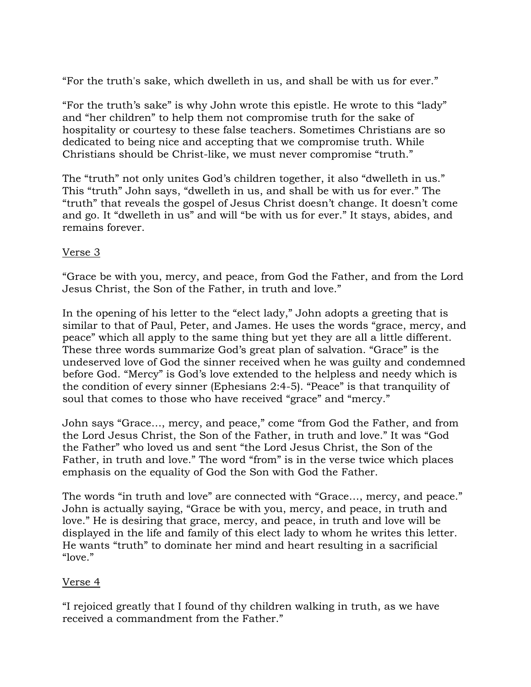"For the truth's sake, which dwelleth in us, and shall be with us for ever."

"For the truth's sake" is why John wrote this epistle. He wrote to this "lady" and "her children" to help them not compromise truth for the sake of hospitality or courtesy to these false teachers. Sometimes Christians are so dedicated to being nice and accepting that we compromise truth. While Christians should be Christ-like, we must never compromise "truth."

The "truth" not only unites God's children together, it also "dwelleth in us." This "truth" John says, "dwelleth in us, and shall be with us for ever." The "truth" that reveals the gospel of Jesus Christ doesn't change. It doesn't come and go. It "dwelleth in us" and will "be with us for ever." It stays, abides, and remains forever.

## Verse 3

"Grace be with you, mercy, and peace, from God the Father, and from the Lord Jesus Christ, the Son of the Father, in truth and love."

In the opening of his letter to the "elect lady," John adopts a greeting that is similar to that of Paul, Peter, and James. He uses the words "grace, mercy, and peace" which all apply to the same thing but yet they are all a little different. These three words summarize God's great plan of salvation. "Grace" is the undeserved love of God the sinner received when he was guilty and condemned before God. "Mercy" is God's love extended to the helpless and needy which is the condition of every sinner (Ephesians 2:4-5). "Peace" is that tranquility of soul that comes to those who have received "grace" and "mercy."

John says "Grace…, mercy, and peace," come "from God the Father, and from the Lord Jesus Christ, the Son of the Father, in truth and love." It was "God the Father" who loved us and sent "the Lord Jesus Christ, the Son of the Father, in truth and love." The word "from" is in the verse twice which places emphasis on the equality of God the Son with God the Father.

The words "in truth and love" are connected with "Grace…, mercy, and peace." John is actually saying, "Grace be with you, mercy, and peace, in truth and love." He is desiring that grace, mercy, and peace, in truth and love will be displayed in the life and family of this elect lady to whom he writes this letter. He wants "truth" to dominate her mind and heart resulting in a sacrificial " $love.$ "

#### Verse 4

"I rejoiced greatly that I found of thy children walking in truth, as we have received a commandment from the Father."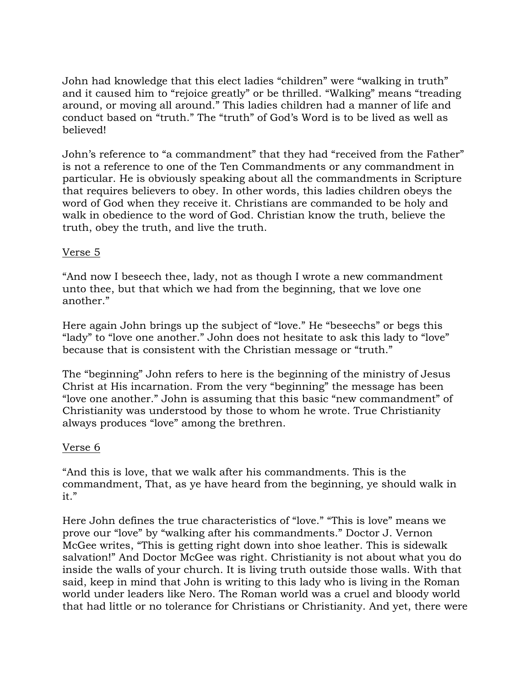John had knowledge that this elect ladies "children" were "walking in truth" and it caused him to "rejoice greatly" or be thrilled. "Walking" means "treading around, or moving all around." This ladies children had a manner of life and conduct based on "truth." The "truth" of God's Word is to be lived as well as believed!

John's reference to "a commandment" that they had "received from the Father" is not a reference to one of the Ten Commandments or any commandment in particular. He is obviously speaking about all the commandments in Scripture that requires believers to obey. In other words, this ladies children obeys the word of God when they receive it. Christians are commanded to be holy and walk in obedience to the word of God. Christian know the truth, believe the truth, obey the truth, and live the truth.

#### Verse 5

"And now I beseech thee, lady, not as though I wrote a new commandment unto thee, but that which we had from the beginning, that we love one another."

Here again John brings up the subject of "love." He "beseechs" or begs this "lady" to "love one another." John does not hesitate to ask this lady to "love" because that is consistent with the Christian message or "truth."

The "beginning" John refers to here is the beginning of the ministry of Jesus Christ at His incarnation. From the very "beginning" the message has been "love one another." John is assuming that this basic "new commandment" of Christianity was understood by those to whom he wrote. True Christianity always produces "love" among the brethren.

#### Verse 6

"And this is love, that we walk after his commandments. This is the commandment, That, as ye have heard from the beginning, ye should walk in it."

Here John defines the true characteristics of "love." "This is love" means we prove our "love" by "walking after his commandments." Doctor J. Vernon McGee writes, "This is getting right down into shoe leather. This is sidewalk salvation!" And Doctor McGee was right. Christianity is not about what you do inside the walls of your church. It is living truth outside those walls. With that said, keep in mind that John is writing to this lady who is living in the Roman world under leaders like Nero. The Roman world was a cruel and bloody world that had little or no tolerance for Christians or Christianity. And yet, there were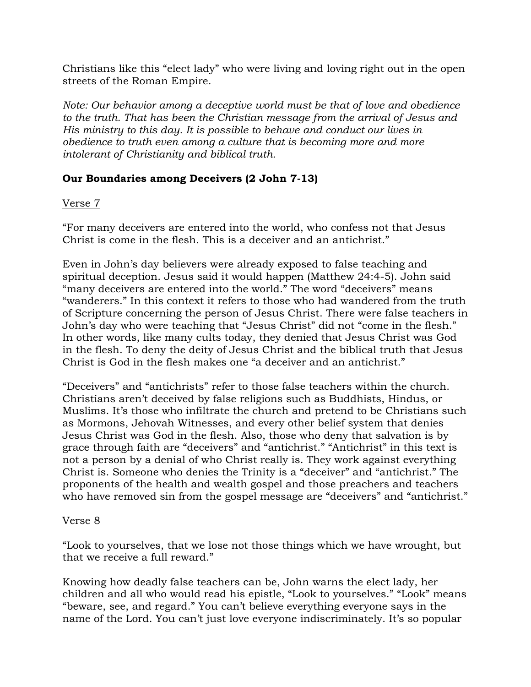Christians like this "elect lady" who were living and loving right out in the open streets of the Roman Empire.

*Note: Our behavior among a deceptive world must be that of love and obedience to the truth. That has been the Christian message from the arrival of Jesus and His ministry to this day. It is possible to behave and conduct our lives in obedience to truth even among a culture that is becoming more and more intolerant of Christianity and biblical truth.*

## **Our Boundaries among Deceivers (2 John 7-13)**

## Verse 7

"For many deceivers are entered into the world, who confess not that Jesus Christ is come in the flesh. This is a deceiver and an antichrist."

Even in John's day believers were already exposed to false teaching and spiritual deception. Jesus said it would happen (Matthew 24:4-5). John said "many deceivers are entered into the world." The word "deceivers" means "wanderers." In this context it refers to those who had wandered from the truth of Scripture concerning the person of Jesus Christ. There were false teachers in John's day who were teaching that "Jesus Christ" did not "come in the flesh." In other words, like many cults today, they denied that Jesus Christ was God in the flesh. To deny the deity of Jesus Christ and the biblical truth that Jesus Christ is God in the flesh makes one "a deceiver and an antichrist."

"Deceivers" and "antichrists" refer to those false teachers within the church. Christians aren't deceived by false religions such as Buddhists, Hindus, or Muslims. It's those who infiltrate the church and pretend to be Christians such as Mormons, Jehovah Witnesses, and every other belief system that denies Jesus Christ was God in the flesh. Also, those who deny that salvation is by grace through faith are "deceivers" and "antichrist." "Antichrist" in this text is not a person by a denial of who Christ really is. They work against everything Christ is. Someone who denies the Trinity is a "deceiver" and "antichrist." The proponents of the health and wealth gospel and those preachers and teachers who have removed sin from the gospel message are "deceivers" and "antichrist."

#### Verse 8

"Look to yourselves, that we lose not those things which we have wrought, but that we receive a full reward."

Knowing how deadly false teachers can be, John warns the elect lady, her children and all who would read his epistle, "Look to yourselves." "Look" means "beware, see, and regard." You can't believe everything everyone says in the name of the Lord. You can't just love everyone indiscriminately. It's so popular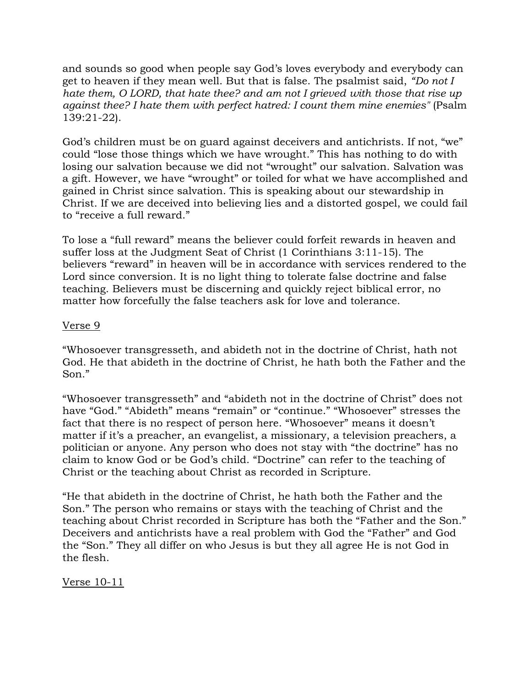and sounds so good when people say God's loves everybody and everybody can get to heaven if they mean well. But that is false. The psalmist said, *"Do not I hate them, O LORD, that hate thee? and am not I grieved with those that rise up against thee? I hate them with perfect hatred: I count them mine enemies"* (Psalm 139:21-22).

God's children must be on guard against deceivers and antichrists. If not, "we" could "lose those things which we have wrought." This has nothing to do with losing our salvation because we did not "wrought" our salvation. Salvation was a gift. However, we have "wrought" or toiled for what we have accomplished and gained in Christ since salvation. This is speaking about our stewardship in Christ. If we are deceived into believing lies and a distorted gospel, we could fail to "receive a full reward."

To lose a "full reward" means the believer could forfeit rewards in heaven and suffer loss at the Judgment Seat of Christ (1 Corinthians 3:11-15). The believers "reward" in heaven will be in accordance with services rendered to the Lord since conversion. It is no light thing to tolerate false doctrine and false teaching. Believers must be discerning and quickly reject biblical error, no matter how forcefully the false teachers ask for love and tolerance.

## Verse 9

"Whosoever transgresseth, and abideth not in the doctrine of Christ, hath not God. He that abideth in the doctrine of Christ, he hath both the Father and the Son."

"Whosoever transgresseth" and "abideth not in the doctrine of Christ" does not have "God." "Abideth" means "remain" or "continue." "Whosoever" stresses the fact that there is no respect of person here. "Whosoever" means it doesn't matter if it's a preacher, an evangelist, a missionary, a television preachers, a politician or anyone. Any person who does not stay with "the doctrine" has no claim to know God or be God's child. "Doctrine" can refer to the teaching of Christ or the teaching about Christ as recorded in Scripture.

"He that abideth in the doctrine of Christ, he hath both the Father and the Son." The person who remains or stays with the teaching of Christ and the teaching about Christ recorded in Scripture has both the "Father and the Son." Deceivers and antichrists have a real problem with God the "Father" and God the "Son." They all differ on who Jesus is but they all agree He is not God in the flesh.

Verse 10-11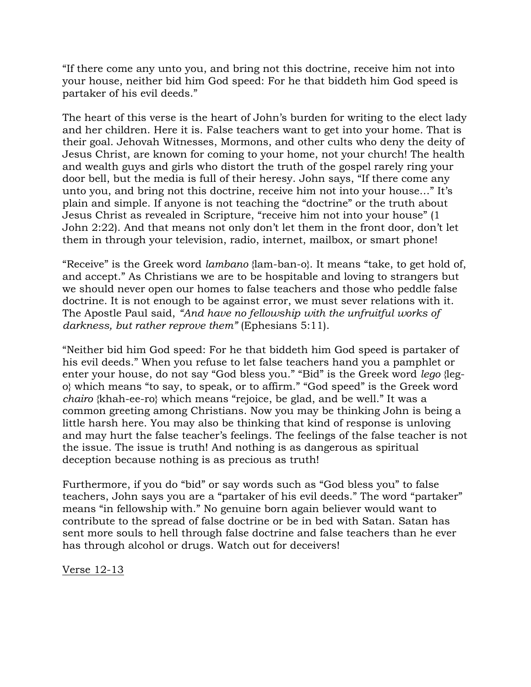"If there come any unto you, and bring not this doctrine, receive him not into your house, neither bid him God speed: For he that biddeth him God speed is partaker of his evil deeds."

The heart of this verse is the heart of John's burden for writing to the elect lady and her children. Here it is. False teachers want to get into your home. That is their goal. Jehovah Witnesses, Mormons, and other cults who deny the deity of Jesus Christ, are known for coming to your home, not your church! The health and wealth guys and girls who distort the truth of the gospel rarely ring your door bell, but the media is full of their heresy. John says, "If there come any unto you, and bring not this doctrine, receive him not into your house…" It's plain and simple. If anyone is not teaching the "doctrine" or the truth about Jesus Christ as revealed in Scripture, "receive him not into your house" (1 John 2:22). And that means not only don't let them in the front door, don't let them in through your television, radio, internet, mailbox, or smart phone!

"Receive" is the Greek word *lambano* {lam-ban-o}. It means "take, to get hold of, and accept." As Christians we are to be hospitable and loving to strangers but we should never open our homes to false teachers and those who peddle false doctrine. It is not enough to be against error, we must sever relations with it. The Apostle Paul said, *"And have no fellowship with the unfruitful works of darkness, but rather reprove them"* (Ephesians 5:11).

"Neither bid him God speed: For he that biddeth him God speed is partaker of his evil deeds." When you refuse to let false teachers hand you a pamphlet or enter your house, do not say "God bless you." "Bid" is the Greek word *lego* {lego} which means "to say, to speak, or to affirm." "God speed" is the Greek word *chairo* {khah-ee-ro} which means "rejoice, be glad, and be well." It was a common greeting among Christians. Now you may be thinking John is being a little harsh here. You may also be thinking that kind of response is unloving and may hurt the false teacher's feelings. The feelings of the false teacher is not the issue. The issue is truth! And nothing is as dangerous as spiritual deception because nothing is as precious as truth!

Furthermore, if you do "bid" or say words such as "God bless you" to false teachers, John says you are a "partaker of his evil deeds." The word "partaker" means "in fellowship with." No genuine born again believer would want to contribute to the spread of false doctrine or be in bed with Satan. Satan has sent more souls to hell through false doctrine and false teachers than he ever has through alcohol or drugs. Watch out for deceivers!

Verse 12-13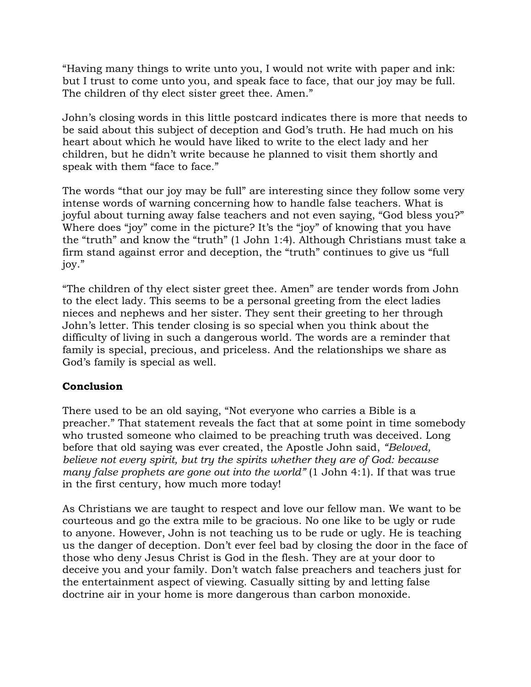"Having many things to write unto you, I would not write with paper and ink: but I trust to come unto you, and speak face to face, that our joy may be full. The children of thy elect sister greet thee. Amen."

John's closing words in this little postcard indicates there is more that needs to be said about this subject of deception and God's truth. He had much on his heart about which he would have liked to write to the elect lady and her children, but he didn't write because he planned to visit them shortly and speak with them "face to face."

The words "that our joy may be full" are interesting since they follow some very intense words of warning concerning how to handle false teachers. What is joyful about turning away false teachers and not even saying, "God bless you?" Where does "joy" come in the picture? It's the "joy" of knowing that you have the "truth" and know the "truth" (1 John 1:4). Although Christians must take a firm stand against error and deception, the "truth" continues to give us "full joy."

"The children of thy elect sister greet thee. Amen" are tender words from John to the elect lady. This seems to be a personal greeting from the elect ladies nieces and nephews and her sister. They sent their greeting to her through John's letter. This tender closing is so special when you think about the difficulty of living in such a dangerous world. The words are a reminder that family is special, precious, and priceless. And the relationships we share as God's family is special as well.

# **Conclusion**

There used to be an old saying, "Not everyone who carries a Bible is a preacher." That statement reveals the fact that at some point in time somebody who trusted someone who claimed to be preaching truth was deceived. Long before that old saying was ever created, the Apostle John said, *"Beloved, believe not every spirit, but try the spirits whether they are of God: because many false prophets are gone out into the world"* (1 John 4:1). If that was true in the first century, how much more today!

As Christians we are taught to respect and love our fellow man. We want to be courteous and go the extra mile to be gracious. No one like to be ugly or rude to anyone. However, John is not teaching us to be rude or ugly. He is teaching us the danger of deception. Don't ever feel bad by closing the door in the face of those who deny Jesus Christ is God in the flesh. They are at your door to deceive you and your family. Don't watch false preachers and teachers just for the entertainment aspect of viewing. Casually sitting by and letting false doctrine air in your home is more dangerous than carbon monoxide.